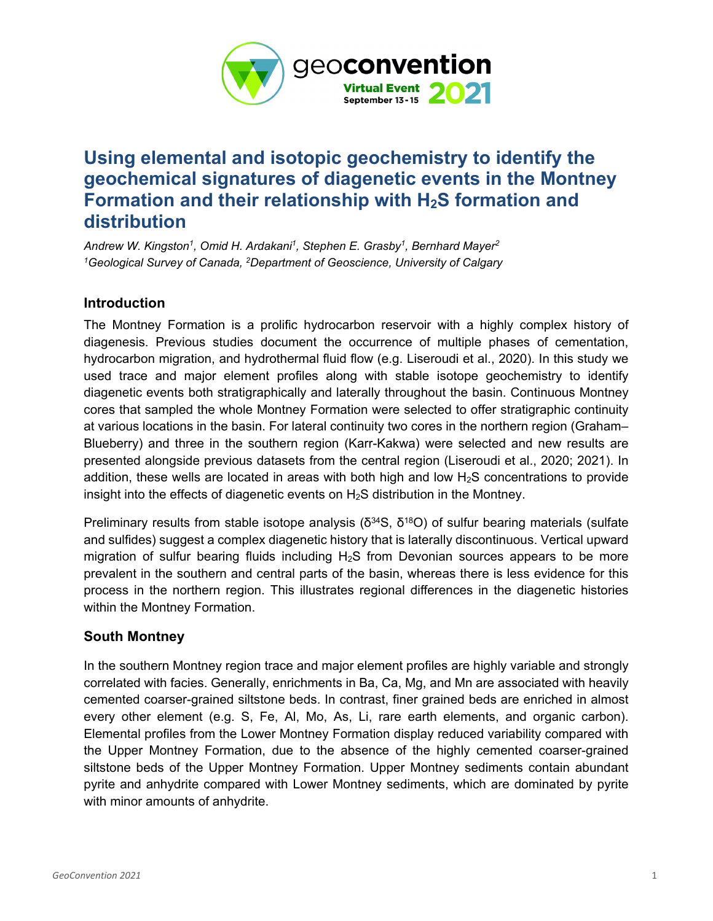

# **Using elemental and isotopic geochemistry to identify the geochemical signatures of diagenetic events in the Montney Formation and their relationship with H2S formation and distribution**

*Andrew W. Kingston1, Omid H. Ardakani1, Stephen E. Grasby1, Bernhard Mayer2 1Geological Survey of Canada, 2Department of Geoscience, University of Calgary*

## **Introduction**

The Montney Formation is a prolific hydrocarbon reservoir with a highly complex history of diagenesis. Previous studies document the occurrence of multiple phases of cementation, hydrocarbon migration, and hydrothermal fluid flow (e.g. Liseroudi et al., 2020). In this study we used trace and major element profiles along with stable isotope geochemistry to identify diagenetic events both stratigraphically and laterally throughout the basin. Continuous Montney cores that sampled the whole Montney Formation were selected to offer stratigraphic continuity at various locations in the basin. For lateral continuity two cores in the northern region (Graham– Blueberry) and three in the southern region (Karr-Kakwa) were selected and new results are presented alongside previous datasets from the central region (Liseroudi et al., 2020; 2021). In addition, these wells are located in areas with both high and low  $H_2S$  concentrations to provide insight into the effects of diagenetic events on H2S distribution in the Montney.

Preliminary results from stable isotope analysis ( $\delta^{34}S$ ,  $\delta^{18}O$ ) of sulfur bearing materials (sulfate and sulfides) suggest a complex diagenetic history that is laterally discontinuous. Vertical upward migration of sulfur bearing fluids including  $H_2S$  from Devonian sources appears to be more prevalent in the southern and central parts of the basin, whereas there is less evidence for this process in the northern region. This illustrates regional differences in the diagenetic histories within the Montney Formation.

## **South Montney**

In the southern Montney region trace and major element profiles are highly variable and strongly correlated with facies. Generally, enrichments in Ba, Ca, Mg, and Mn are associated with heavily cemented coarser-grained siltstone beds. In contrast, finer grained beds are enriched in almost every other element (e.g. S, Fe, Al, Mo, As, Li, rare earth elements, and organic carbon). Elemental profiles from the Lower Montney Formation display reduced variability compared with the Upper Montney Formation, due to the absence of the highly cemented coarser-grained siltstone beds of the Upper Montney Formation. Upper Montney sediments contain abundant pyrite and anhydrite compared with Lower Montney sediments, which are dominated by pyrite with minor amounts of anhydrite.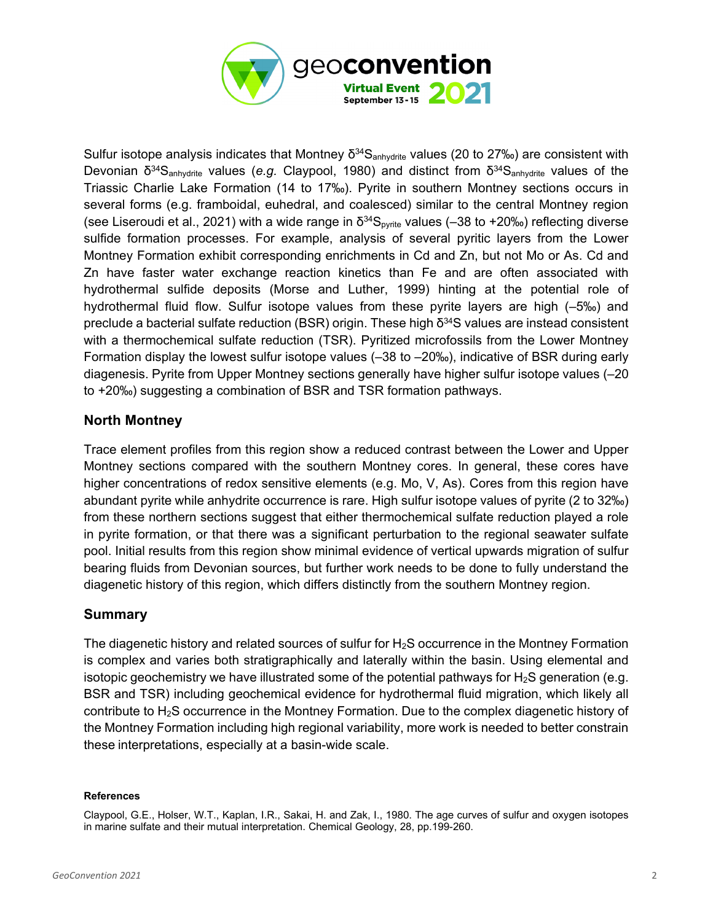

Sulfur isotope analysis indicates that Montney  $\delta^{34}S_{\text{anhvdrite}}$  values (20 to 27‰) are consistent with Devonian δ34Sanhydrite values (*e.g.* Claypool, 1980) and distinct from δ34Sanhydrite values of the Triassic Charlie Lake Formation (14 to 17‰). Pyrite in southern Montney sections occurs in several forms (e.g. framboidal, euhedral, and coalesced) similar to the central Montney region (see Liseroudi et al., 2021) with a wide range in  $\delta^{34}S_{pyrite}$  values (-38 to +20‰) reflecting diverse sulfide formation processes. For example, analysis of several pyritic layers from the Lower Montney Formation exhibit corresponding enrichments in Cd and Zn, but not Mo or As. Cd and Zn have faster water exchange reaction kinetics than Fe and are often associated with hydrothermal sulfide deposits (Morse and Luther, 1999) hinting at the potential role of hydrothermal fluid flow. Sulfur isotope values from these pyrite layers are high (–5‰) and preclude a bacterial sulfate reduction (BSR) origin. These high  $\delta^{34}$ S values are instead consistent with a thermochemical sulfate reduction (TSR). Pyritized microfossils from the Lower Montney Formation display the lowest sulfur isotope values (–38 to –20‰), indicative of BSR during early diagenesis. Pyrite from Upper Montney sections generally have higher sulfur isotope values (–20 to +20‰) suggesting a combination of BSR and TSR formation pathways.

## **North Montney**

Trace element profiles from this region show a reduced contrast between the Lower and Upper Montney sections compared with the southern Montney cores. In general, these cores have higher concentrations of redox sensitive elements (e.g. Mo, V, As). Cores from this region have abundant pyrite while anhydrite occurrence is rare. High sulfur isotope values of pyrite (2 to 32‰) from these northern sections suggest that either thermochemical sulfate reduction played a role in pyrite formation, or that there was a significant perturbation to the regional seawater sulfate pool. Initial results from this region show minimal evidence of vertical upwards migration of sulfur bearing fluids from Devonian sources, but further work needs to be done to fully understand the diagenetic history of this region, which differs distinctly from the southern Montney region.

## **Summary**

The diagenetic history and related sources of sulfur for  $H_2S$  occurrence in the Montney Formation is complex and varies both stratigraphically and laterally within the basin. Using elemental and isotopic geochemistry we have illustrated some of the potential pathways for  $H_2S$  generation (e.g. BSR and TSR) including geochemical evidence for hydrothermal fluid migration, which likely all contribute to H2S occurrence in the Montney Formation. Due to the complex diagenetic history of the Montney Formation including high regional variability, more work is needed to better constrain these interpretations, especially at a basin-wide scale.

### **References**

Claypool, G.E., Holser, W.T., Kaplan, I.R., Sakai, H. and Zak, I., 1980. The age curves of sulfur and oxygen isotopes in marine sulfate and their mutual interpretation. Chemical Geology, 28, pp.199-260.